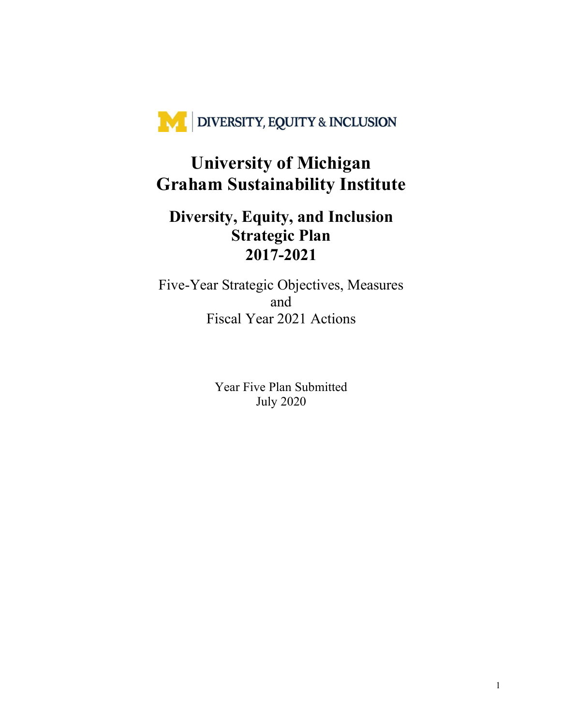

### **University of Michigan Graham Sustainability Institute**

### **Diversity, Equity, and Inclusion Strategic Plan 2017-2021**

Five-Year Strategic Objectives, Measures and Fiscal Year 2021 Actions

> Year Five Plan Submitted July 2020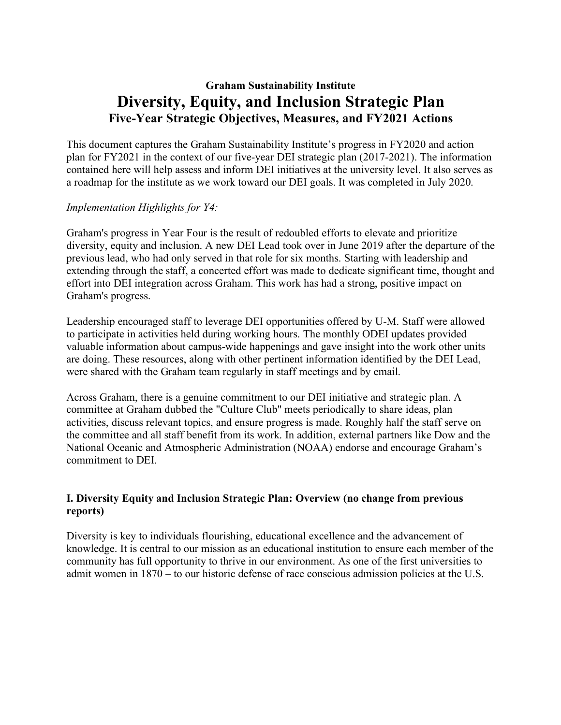### **Graham Sustainability Institute Diversity, Equity, and Inclusion Strategic Plan Five-Year Strategic Objectives, Measures, and FY2021 Actions**

This document captures the Graham Sustainability Institute's progress in FY2020 and action plan for FY2021 in the context of our five-year DEI strategic plan (2017-2021). The information contained here will help assess and inform DEI initiatives at the university level. It also serves as a roadmap for the institute as we work toward our DEI goals. It was completed in July 2020.

#### *Implementation Highlights for Y4:*

Graham's progress in Year Four is the result of redoubled efforts to elevate and prioritize diversity, equity and inclusion. A new DEI Lead took over in June 2019 after the departure of the previous lead, who had only served in that role for six months. Starting with leadership and extending through the staff, a concerted effort was made to dedicate significant time, thought and effort into DEI integration across Graham. This work has had a strong, positive impact on Graham's progress.

Leadership encouraged staff to leverage DEI opportunities offered by U-M. Staff were allowed to participate in activities held during working hours. The monthly ODEI updates provided valuable information about campus-wide happenings and gave insight into the work other units are doing. These resources, along with other pertinent information identified by the DEI Lead, were shared with the Graham team regularly in staff meetings and by email.

Across Graham, there is a genuine commitment to our DEI initiative and strategic plan. A committee at Graham dubbed the "Culture Club" meets periodically to share ideas, plan activities, discuss relevant topics, and ensure progress is made. Roughly half the staff serve on the committee and all staff benefit from its work. In addition, external partners like Dow and the National Oceanic and Atmospheric Administration (NOAA) endorse and encourage Graham's commitment to DEI.

#### **I. Diversity Equity and Inclusion Strategic Plan: Overview (no change from previous reports)**

Diversity is key to individuals flourishing, educational excellence and the advancement of knowledge. It is central to our mission as an educational institution to ensure each member of the community has full opportunity to thrive in our environment. As one of the first universities to admit women in 1870 – to our historic defense of race conscious admission policies at the U.S.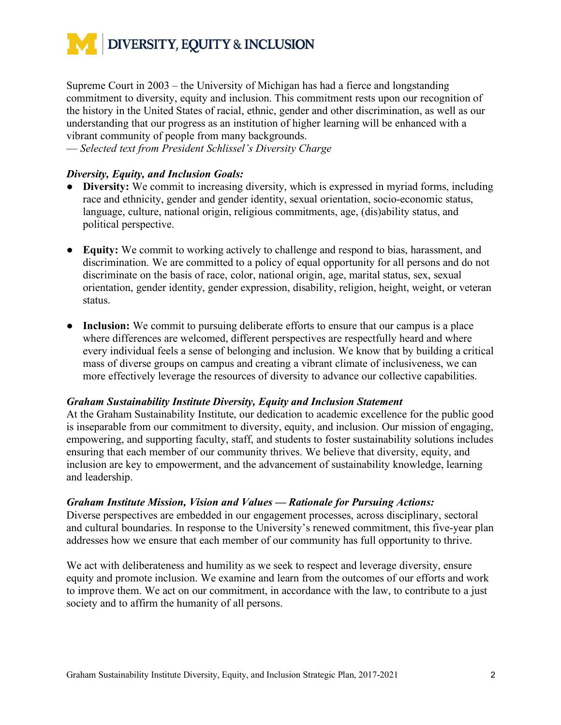

Supreme Court in 2003 – the University of Michigan has had a fierce and longstanding commitment to diversity, equity and inclusion. This commitment rests upon our recognition of the history in the United States of racial, ethnic, gender and other discrimination, as well as our understanding that our progress as an institution of higher learning will be enhanced with a vibrant community of people from many backgrounds.

— *Selected text from President Schlissel's Diversity Charge* 

#### *Diversity, Equity, and Inclusion Goals:*

- **Diversity:** We commit to increasing diversity, which is expressed in myriad forms, including race and ethnicity, gender and gender identity, sexual orientation, socio-economic status, language, culture, national origin, religious commitments, age, (dis)ability status, and political perspective.
- **Equity:** We commit to working actively to challenge and respond to bias, harassment, and discrimination. We are committed to a policy of equal opportunity for all persons and do not discriminate on the basis of race, color, national origin, age, marital status, sex, sexual orientation, gender identity, gender expression, disability, religion, height, weight, or veteran status.
- **Inclusion:** We commit to pursuing deliberate efforts to ensure that our campus is a place where differences are welcomed, different perspectives are respectfully heard and where every individual feels a sense of belonging and inclusion. We know that by building a critical mass of diverse groups on campus and creating a vibrant climate of inclusiveness, we can more effectively leverage the resources of diversity to advance our collective capabilities.

#### *Graham Sustainability Institute Diversity, Equity and Inclusion Statement*

At the Graham Sustainability Institute, our dedication to academic excellence for the public good is inseparable from our commitment to diversity, equity, and inclusion. Our mission of engaging, empowering, and supporting faculty, staff, and students to foster sustainability solutions includes ensuring that each member of our community thrives. We believe that diversity, equity, and inclusion are key to empowerment, and the advancement of sustainability knowledge, learning and leadership.

#### *Graham Institute Mission, Vision and Values — Rationale for Pursuing Actions:*

Diverse perspectives are embedded in our engagement processes, across disciplinary, sectoral and cultural boundaries. In response to the University's renewed commitment, this five-year plan addresses how we ensure that each member of our community has full opportunity to thrive.

We act with deliberateness and humility as we seek to respect and leverage diversity, ensure equity and promote inclusion. We examine and learn from the outcomes of our efforts and work to improve them. We act on our commitment, in accordance with the law, to contribute to a just society and to affirm the humanity of all persons.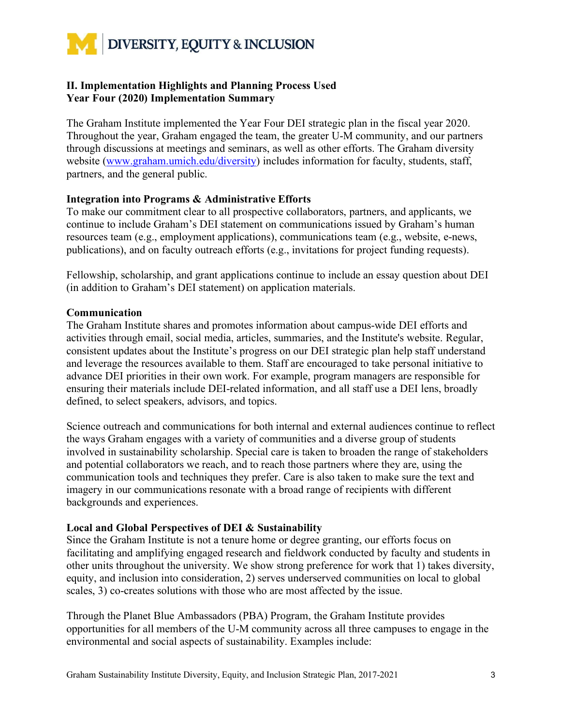

#### **II. Implementation Highlights and Planning Process Used Year Four (2020) Implementation Summary**

The Graham Institute implemented the Year Four DEI strategic plan in the fiscal year 2020. Throughout the year, Graham engaged the team, the greater U-M community, and our partners through discussions at meetings and seminars, as well as other efforts. The Graham diversity website (www.graham.umich.edu/diversity) includes information for faculty, students, staff, partners, and the general public.

#### **Integration into Programs & Administrative Efforts**

To make our commitment clear to all prospective collaborators, partners, and applicants, we continue to include Graham's DEI statement on communications issued by Graham's human resources team (e.g., employment applications), communications team (e.g., website, e-news, publications), and on faculty outreach efforts (e.g., invitations for project funding requests).

Fellowship, scholarship, and grant applications continue to include an essay question about DEI (in addition to Graham's DEI statement) on application materials.

#### **Communication**

The Graham Institute shares and promotes information about campus-wide DEI efforts and activities through email, social media, articles, summaries, and the Institute's website. Regular, consistent updates about the Institute's progress on our DEI strategic plan help staff understand and leverage the resources available to them. Staff are encouraged to take personal initiative to advance DEI priorities in their own work. For example, program managers are responsible for ensuring their materials include DEI-related information, and all staff use a DEI lens, broadly defined, to select speakers, advisors, and topics.

Science outreach and communications for both internal and external audiences continue to reflect the ways Graham engages with a variety of communities and a diverse group of students involved in sustainability scholarship. Special care is taken to broaden the range of stakeholders and potential collaborators we reach, and to reach those partners where they are, using the communication tools and techniques they prefer. Care is also taken to make sure the text and imagery in our communications resonate with a broad range of recipients with different backgrounds and experiences.

#### **Local and Global Perspectives of DEI & Sustainability**

Since the Graham Institute is not a tenure home or degree granting, our efforts focus on facilitating and amplifying engaged research and fieldwork conducted by faculty and students in other units throughout the university. We show strong preference for work that 1) takes diversity, equity, and inclusion into consideration, 2) serves underserved communities on local to global scales, 3) co-creates solutions with those who are most affected by the issue.

Through the Planet Blue Ambassadors (PBA) Program, the Graham Institute provides opportunities for all members of the U-M community across all three campuses to engage in the environmental and social aspects of sustainability. Examples include: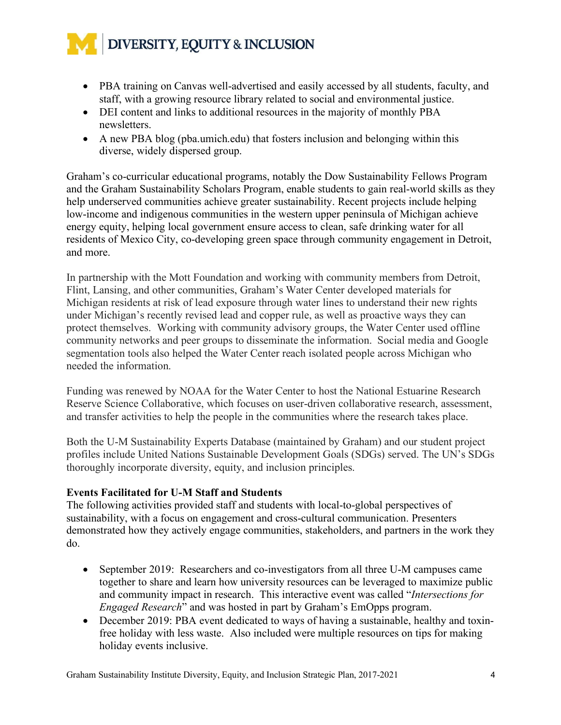- PBA training on Canvas well-advertised and easily accessed by all students, faculty, and staff, with a growing resource library related to social and environmental justice.
- DEI content and links to additional resources in the majority of monthly PBA newsletters.
- A new PBA blog (pba.umich.edu) that fosters inclusion and belonging within this diverse, widely dispersed group.

Graham's co-curricular educational programs, notably the Dow Sustainability Fellows Program and the Graham Sustainability Scholars Program, enable students to gain real-world skills as they help underserved communities achieve greater sustainability. Recent projects include helping low-income and indigenous communities in the western upper peninsula of Michigan achieve energy equity, helping local government ensure access to clean, safe drinking water for all residents of Mexico City, co-developing green space through community engagement in Detroit, and more.

In partnership with the Mott Foundation and working with community members from Detroit, Flint, Lansing, and other communities, Graham's Water Center developed materials for Michigan residents at risk of lead exposure through water lines to understand their new rights under Michigan's recently revised lead and copper rule, as well as proactive ways they can protect themselves. Working with community advisory groups, the Water Center used offline community networks and peer groups to disseminate the information. Social media and Google segmentation tools also helped the Water Center reach isolated people across Michigan who needed the information.

Funding was renewed by NOAA for the Water Center to host the National Estuarine Research Reserve Science Collaborative, which focuses on user-driven collaborative research, assessment, and transfer activities to help the people in the communities where the research takes place.

Both the U-M Sustainability Experts Database (maintained by Graham) and our student project profiles include United Nations Sustainable Development Goals (SDGs) served. The UN's SDGs thoroughly incorporate diversity, equity, and inclusion principles.

#### **Events Facilitated for U-M Staff and Students**

The following activities provided staff and students with local-to-global perspectives of sustainability, with a focus on engagement and cross-cultural communication. Presenters demonstrated how they actively engage communities, stakeholders, and partners in the work they do.

- September 2019: Researchers and co-investigators from all three U-M campuses came together to share and learn how university resources can be leveraged to maximize public and community impact in research. This interactive event was called "*Intersections for Engaged Research*" and was hosted in part by Graham's EmOpps program.
- December 2019: PBA event dedicated to ways of having a sustainable, healthy and toxinfree holiday with less waste. Also included were multiple resources on tips for making holiday events inclusive.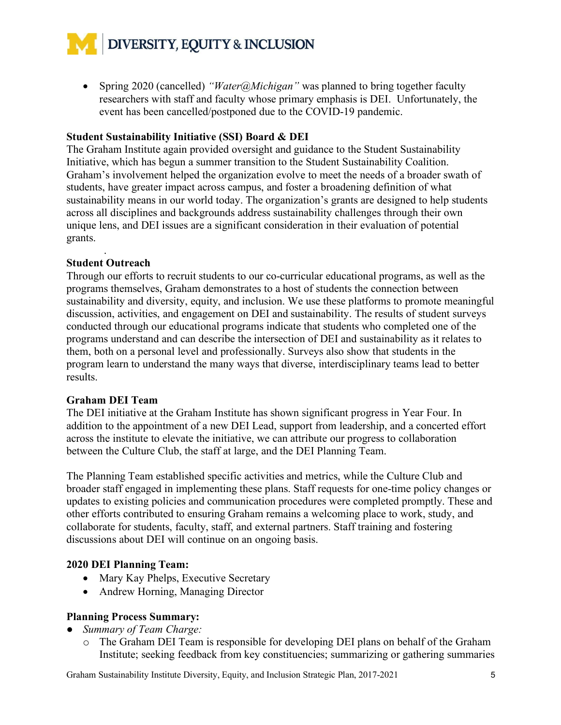• Spring 2020 (cancelled) *"Water@Michigan"* was planned to bring together faculty researchers with staff and faculty whose primary emphasis is DEI. Unfortunately, the event has been cancelled/postponed due to the COVID-19 pandemic.

#### **Student Sustainability Initiative (SSI) Board & DEI**

The Graham Institute again provided oversight and guidance to the Student Sustainability Initiative, which has begun a summer transition to the Student Sustainability Coalition. Graham's involvement helped the organization evolve to meet the needs of a broader swath of students, have greater impact across campus, and foster a broadening definition of what sustainability means in our world today. The organization's grants are designed to help students across all disciplines and backgrounds address sustainability challenges through their own unique lens, and DEI issues are a significant consideration in their evaluation of potential grants.

#### . **Student Outreach**

Through our efforts to recruit students to our co-curricular educational programs, as well as the programs themselves, Graham demonstrates to a host of students the connection between sustainability and diversity, equity, and inclusion. We use these platforms to promote meaningful discussion, activities, and engagement on DEI and sustainability. The results of student surveys conducted through our educational programs indicate that students who completed one of the programs understand and can describe the intersection of DEI and sustainability as it relates to them, both on a personal level and professionally. Surveys also show that students in the program learn to understand the many ways that diverse, interdisciplinary teams lead to better results.

#### **Graham DEI Team**

The DEI initiative at the Graham Institute has shown significant progress in Year Four. In addition to the appointment of a new DEI Lead, support from leadership, and a concerted effort across the institute to elevate the initiative, we can attribute our progress to collaboration between the Culture Club, the staff at large, and the DEI Planning Team.

The Planning Team established specific activities and metrics, while the Culture Club and broader staff engaged in implementing these plans. Staff requests for one-time policy changes or updates to existing policies and communication procedures were completed promptly. These and other efforts contributed to ensuring Graham remains a welcoming place to work, study, and collaborate for students, faculty, staff, and external partners. Staff training and fostering discussions about DEI will continue on an ongoing basis.

#### **2020 DEI Planning Team:**

- Mary Kay Phelps, Executive Secretary
- Andrew Horning, Managing Director

#### **Planning Process Summary:**

- *Summary of Team Charge:*
	- o The Graham DEI Team is responsible for developing DEI plans on behalf of the Graham Institute; seeking feedback from key constituencies; summarizing or gathering summaries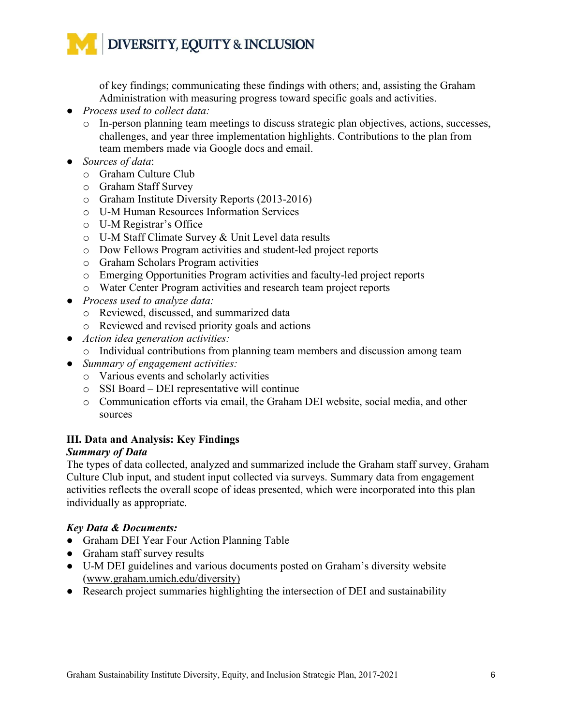of key findings; communicating these findings with others; and, assisting the Graham Administration with measuring progress toward specific goals and activities.

- *Process used to collect data:* 
	- o In-person planning team meetings to discuss strategic plan objectives, actions, successes, challenges, and year three implementation highlights. Contributions to the plan from team members made via Google docs and email.
- *Sources of data*:
	- o Graham Culture Club
	- o Graham Staff Survey
	- o Graham Institute Diversity Reports (2013-2016)
	- o U-M Human Resources Information Services
	- o U-M Registrar's Office
	- o U-M Staff Climate Survey & Unit Level data results
	- o Dow Fellows Program activities and student-led project reports
	- o Graham Scholars Program activities
	- o Emerging Opportunities Program activities and faculty-led project reports
	- o Water Center Program activities and research team project reports
- *Process used to analyze data:*
	- o Reviewed, discussed, and summarized data
	- o Reviewed and revised priority goals and actions
- *Action idea generation activities:*
	- o Individual contributions from planning team members and discussion among team
- *Summary of engagement activities:*
	- o Various events and scholarly activities
	- o SSI Board DEI representative will continue
	- o Communication efforts via email, the Graham DEI website, social media, and other sources

#### **III. Data and Analysis: Key Findings**

#### *Summary of Data*

The types of data collected, analyzed and summarized include the Graham staff survey, Graham Culture Club input, and student input collected via surveys. Summary data from engagement activities reflects the overall scope of ideas presented, which were incorporated into this plan individually as appropriate.

#### *Key Data & Documents:*

- Graham DEI Year Four Action Planning Table
- Graham staff survey results
- U-M DEI guidelines and various documents posted on Graham's diversity website (www.graham.umich.edu/diversity)
- Research project summaries highlighting the intersection of DEI and sustainability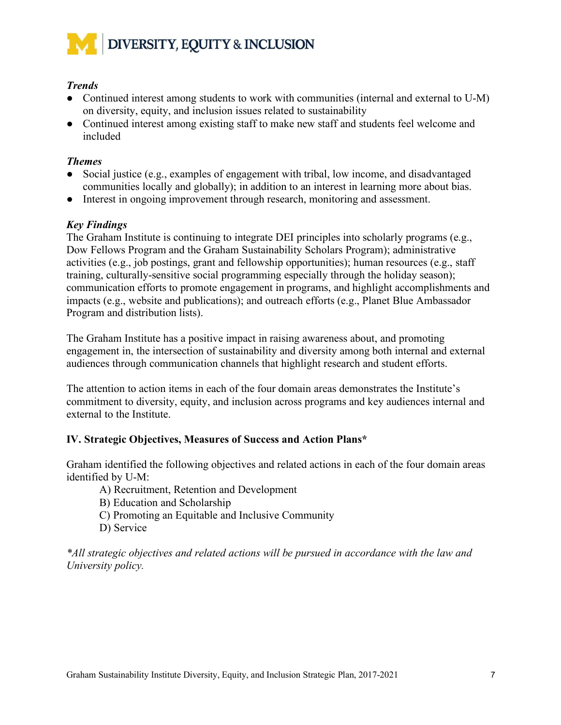

#### *Trends*

- Continued interest among students to work with communities (internal and external to U-M) on diversity, equity, and inclusion issues related to sustainability
- Continued interest among existing staff to make new staff and students feel welcome and included

#### *Themes*

- Social justice (e.g., examples of engagement with tribal, low income, and disadvantaged communities locally and globally); in addition to an interest in learning more about bias.
- Interest in ongoing improvement through research, monitoring and assessment.

#### *Key Findings*

The Graham Institute is continuing to integrate DEI principles into scholarly programs (e.g., Dow Fellows Program and the Graham Sustainability Scholars Program); administrative activities (e.g., job postings, grant and fellowship opportunities); human resources (e.g., staff training, culturally-sensitive social programming especially through the holiday season); communication efforts to promote engagement in programs, and highlight accomplishments and impacts (e.g., website and publications); and outreach efforts (e.g., Planet Blue Ambassador Program and distribution lists).

The Graham Institute has a positive impact in raising awareness about, and promoting engagement in, the intersection of sustainability and diversity among both internal and external audiences through communication channels that highlight research and student efforts.

The attention to action items in each of the four domain areas demonstrates the Institute's commitment to diversity, equity, and inclusion across programs and key audiences internal and external to the Institute.

#### **IV. Strategic Objectives, Measures of Success and Action Plans\***

Graham identified the following objectives and related actions in each of the four domain areas identified by U-M:

- A) Recruitment, Retention and Development
- B) Education and Scholarship
- C) Promoting an Equitable and Inclusive Community
- D) Service

*\*All strategic objectives and related actions will be pursued in accordance with the law and University policy.*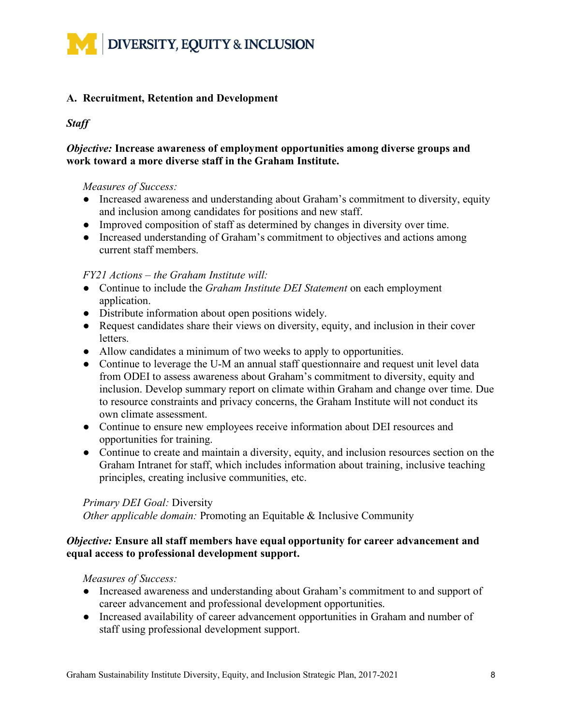

#### **A. Recruitment, Retention and Development**

#### *Staff*

#### *Objective:* **Increase awareness of employment opportunities among diverse groups and work toward a more diverse staff in the Graham Institute.**

#### *Measures of Success:*

- Increased awareness and understanding about Graham's commitment to diversity, equity and inclusion among candidates for positions and new staff.
- Improved composition of staff as determined by changes in diversity over time.
- Increased understanding of Graham's commitment to objectives and actions among current staff members.

#### *FY21 Actions – the Graham Institute will:*

- Continue to include the *Graham Institute DEI Statement* on each employment application.
- Distribute information about open positions widely.
- Request candidates share their views on diversity, equity, and inclusion in their cover letters.
- Allow candidates a minimum of two weeks to apply to opportunities.
- Continue to leverage the U-M an annual staff questionnaire and request unit level data from ODEI to assess awareness about Graham's commitment to diversity, equity and inclusion. Develop summary report on climate within Graham and change over time. Due to resource constraints and privacy concerns, the Graham Institute will not conduct its own climate assessment.
- Continue to ensure new employees receive information about DEI resources and opportunities for training.
- Continue to create and maintain a diversity, equity, and inclusion resources section on the Graham Intranet for staff, which includes information about training, inclusive teaching principles, creating inclusive communities, etc.

#### *Primary DEI Goal:* Diversity

*Other applicable domain:* Promoting an Equitable & Inclusive Community

#### *Objective:* **Ensure all staff members have equal opportunity for career advancement and equal access to professional development support.**

*Measures of Success:* 

- Increased awareness and understanding about Graham's commitment to and support of career advancement and professional development opportunities.
- Increased availability of career advancement opportunities in Graham and number of staff using professional development support.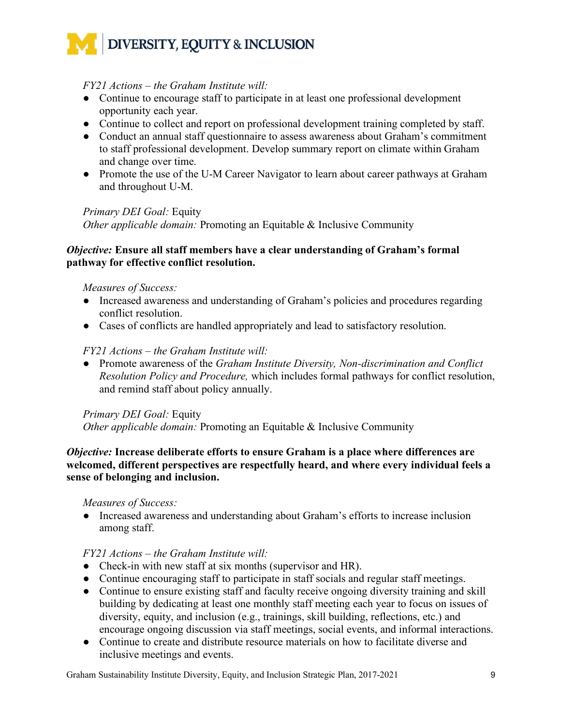#### *FY21 Actions – the Graham Institute will:*

- Continue to encourage staff to participate in at least one professional development opportunity each year.
- Continue to collect and report on professional development training completed by staff.
- Conduct an annual staff questionnaire to assess awareness about Graham's commitment to staff professional development. Develop summary report on climate within Graham and change over time.
- Promote the use of the U-M Career Navigator to learn about career pathways at Graham and throughout U-M.

#### *Primary DEI Goal:* Equity

*Other applicable domain:* Promoting an Equitable & Inclusive Community

#### *Objective:* **Ensure all staff members have a clear understanding of Graham's formal pathway for effective conflict resolution.**

#### *Measures of Success:*

- Increased awareness and understanding of Graham's policies and procedures regarding conflict resolution.
- Cases of conflicts are handled appropriately and lead to satisfactory resolution.

#### *FY21 Actions – the Graham Institute will:*

● Promote awareness of the *Graham Institute Diversity, Non-discrimination and Conflict Resolution Policy and Procedure,* which includes formal pathways for conflict resolution, and remind staff about policy annually.

#### *Primary DEI Goal:* Equity

*Other applicable domain:* Promoting an Equitable & Inclusive Community

#### *Objective:* **Increase deliberate efforts to ensure Graham is a place where differences are welcomed, different perspectives are respectfully heard, and where every individual feels a sense of belonging and inclusion.**

#### *Measures of Success:*

● Increased awareness and understanding about Graham's efforts to increase inclusion among staff.

#### *FY21 Actions – the Graham Institute will:*

- Check-in with new staff at six months (supervisor and HR).
- Continue encouraging staff to participate in staff socials and regular staff meetings.
- Continue to ensure existing staff and faculty receive ongoing diversity training and skill building by dedicating at least one monthly staff meeting each year to focus on issues of diversity, equity, and inclusion (e.g., trainings, skill building, reflections, etc.) and encourage ongoing discussion via staff meetings, social events, and informal interactions.
- Continue to create and distribute resource materials on how to facilitate diverse and inclusive meetings and events.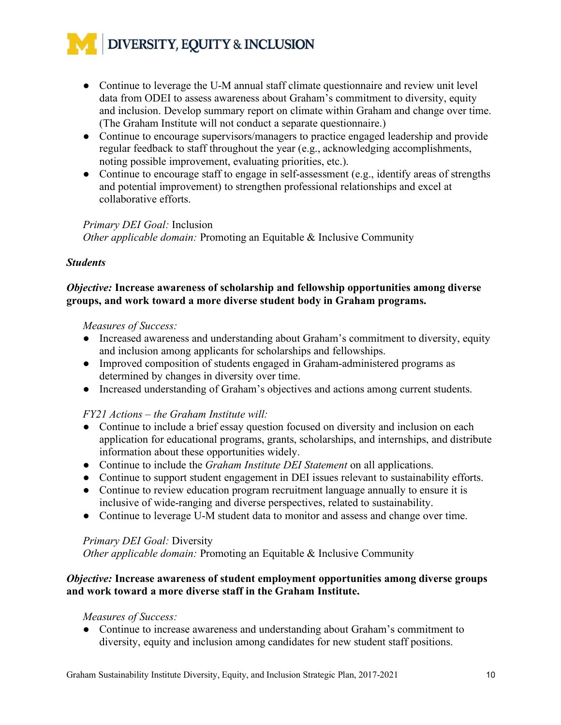- Continue to leverage the U-M annual staff climate questionnaire and review unit level data from ODEI to assess awareness about Graham's commitment to diversity, equity and inclusion. Develop summary report on climate within Graham and change over time. (The Graham Institute will not conduct a separate questionnaire.)
- Continue to encourage supervisors/managers to practice engaged leadership and provide regular feedback to staff throughout the year (e.g., acknowledging accomplishments, noting possible improvement, evaluating priorities, etc.).
- Continue to encourage staff to engage in self-assessment (e.g., identify areas of strengths and potential improvement) to strengthen professional relationships and excel at collaborative efforts.

#### *Primary DEI Goal:* Inclusion

*Other applicable domain:* Promoting an Equitable & Inclusive Community

#### *Students*

#### *Objective:* **Increase awareness of scholarship and fellowship opportunities among diverse groups, and work toward a more diverse student body in Graham programs.**

#### *Measures of Success:*

- Increased awareness and understanding about Graham's commitment to diversity, equity and inclusion among applicants for scholarships and fellowships.
- Improved composition of students engaged in Graham-administered programs as determined by changes in diversity over time.
- Increased understanding of Graham's objectives and actions among current students.

#### *FY21 Actions – the Graham Institute will:*

- Continue to include a brief essay question focused on diversity and inclusion on each application for educational programs, grants, scholarships, and internships, and distribute information about these opportunities widely.
- Continue to include the *Graham Institute DEI Statement* on all applications.
- Continue to support student engagement in DEI issues relevant to sustainability efforts.
- Continue to review education program recruitment language annually to ensure it is inclusive of wide-ranging and diverse perspectives, related to sustainability.
- Continue to leverage U-M student data to monitor and assess and change over time.

#### *Primary DEI Goal:* Diversity

*Other applicable domain:* Promoting an Equitable & Inclusive Community

#### *Objective:* **Increase awareness of student employment opportunities among diverse groups and work toward a more diverse staff in the Graham Institute.**

#### *Measures of Success:*

● Continue to increase awareness and understanding about Graham's commitment to diversity, equity and inclusion among candidates for new student staff positions.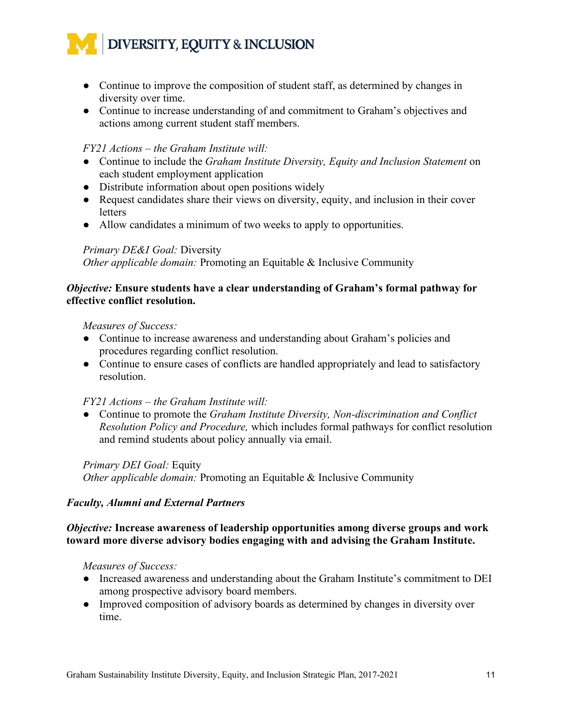- Continue to improve the composition of student staff, as determined by changes in diversity over time.
- Continue to increase understanding of and commitment to Graham's objectives and actions among current student staff members.

#### *FY21 Actions – the Graham Institute will:*

- Continue to include the *Graham Institute Diversity, Equity and Inclusion Statement* on each student employment application
- Distribute information about open positions widely
- Request candidates share their views on diversity, equity, and inclusion in their cover letters
- Allow candidates a minimum of two weeks to apply to opportunities.

#### *Primary DE&I Goal:* Diversity

*Other applicable domain:* Promoting an Equitable & Inclusive Community

#### *Objective:* **Ensure students have a clear understanding of Graham's formal pathway for effective conflict resolution.**

#### *Measures of Success:*

- Continue to increase awareness and understanding about Graham's policies and procedures regarding conflict resolution.
- Continue to ensure cases of conflicts are handled appropriately and lead to satisfactory resolution.

#### *FY21 Actions – the Graham Institute will:*

● Continue to promote the *Graham Institute Diversity, Non-discrimination and Conflict Resolution Policy and Procedure,* which includes formal pathways for conflict resolution and remind students about policy annually via email.

#### *Primary DEI Goal:* Equity

*Other applicable domain:* Promoting an Equitable & Inclusive Community

#### *Faculty, Alumni and External Partners*

#### *Objective:* **Increase awareness of leadership opportunities among diverse groups and work toward more diverse advisory bodies engaging with and advising the Graham Institute.**

*Measures of Success:* 

- Increased awareness and understanding about the Graham Institute's commitment to DEI among prospective advisory board members.
- Improved composition of advisory boards as determined by changes in diversity over time.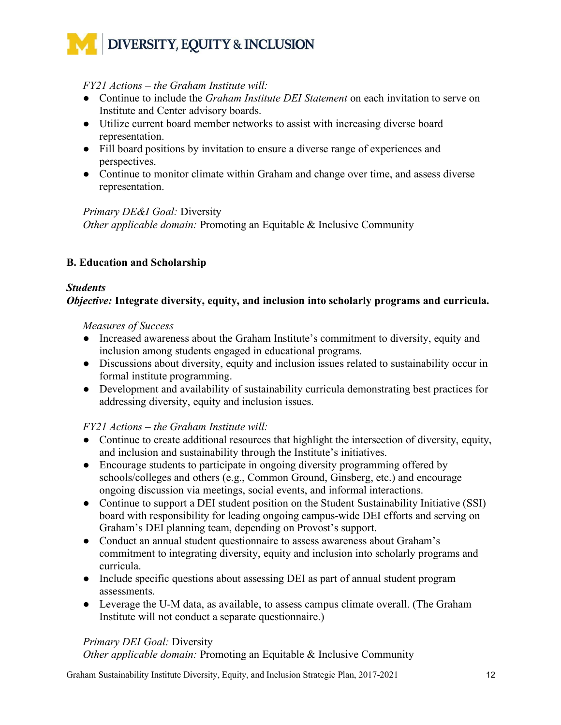#### *FY21 Actions – the Graham Institute will:*

- Continue to include the *Graham Institute DEI Statement* on each invitation to serve on Institute and Center advisory boards.
- Utilize current board member networks to assist with increasing diverse board representation.
- Fill board positions by invitation to ensure a diverse range of experiences and perspectives.
- Continue to monitor climate within Graham and change over time, and assess diverse representation.

#### *Primary DE&I Goal:* Diversity

*Other applicable domain:* Promoting an Equitable & Inclusive Community

#### **B. Education and Scholarship**

#### *Students*

#### *Objective:* **Integrate diversity, equity, and inclusion into scholarly programs and curricula.**

#### *Measures of Success*

- Increased awareness about the Graham Institute's commitment to diversity, equity and inclusion among students engaged in educational programs.
- Discussions about diversity, equity and inclusion issues related to sustainability occur in formal institute programming.
- Development and availability of sustainability curricula demonstrating best practices for addressing diversity, equity and inclusion issues.

#### *FY21 Actions – the Graham Institute will:*

- Continue to create additional resources that highlight the intersection of diversity, equity, and inclusion and sustainability through the Institute's initiatives.
- Encourage students to participate in ongoing diversity programming offered by schools/colleges and others (e.g., Common Ground, Ginsberg, etc.) and encourage ongoing discussion via meetings, social events, and informal interactions.
- Continue to support a DEI student position on the Student Sustainability Initiative (SSI) board with responsibility for leading ongoing campus-wide DEI efforts and serving on Graham's DEI planning team, depending on Provost's support.
- Conduct an annual student questionnaire to assess awareness about Graham's commitment to integrating diversity, equity and inclusion into scholarly programs and curricula.
- Include specific questions about assessing DEI as part of annual student program assessments.
- Leverage the U-M data, as available, to assess campus climate overall. (The Graham Institute will not conduct a separate questionnaire.)

#### *Primary DEI Goal:* Diversity

*Other applicable domain:* Promoting an Equitable & Inclusive Community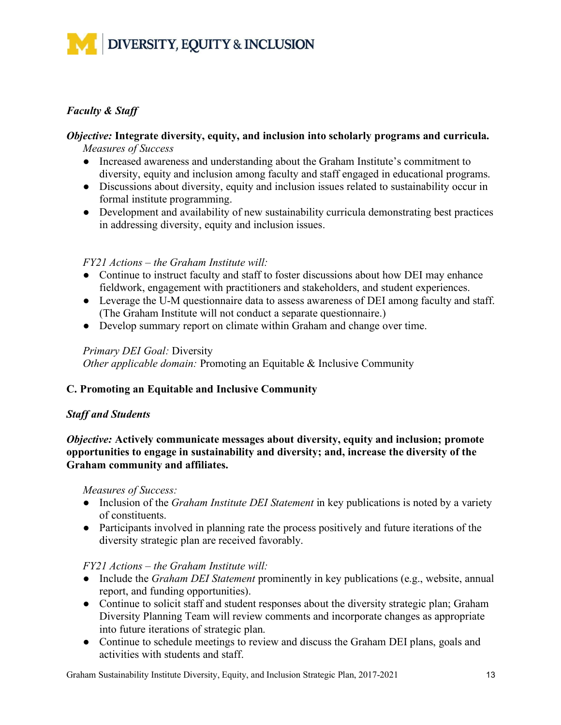#### *Faculty & Staff*

#### *Objective:* **Integrate diversity, equity, and inclusion into scholarly programs and curricula.** *Measures of Success*

- Increased awareness and understanding about the Graham Institute's commitment to diversity, equity and inclusion among faculty and staff engaged in educational programs.
- Discussions about diversity, equity and inclusion issues related to sustainability occur in formal institute programming.
- Development and availability of new sustainability curricula demonstrating best practices in addressing diversity, equity and inclusion issues.

#### *FY21 Actions – the Graham Institute will:*

- Continue to instruct faculty and staff to foster discussions about how DEI may enhance fieldwork, engagement with practitioners and stakeholders, and student experiences.
- Leverage the U-M questionnaire data to assess awareness of DEI among faculty and staff. (The Graham Institute will not conduct a separate questionnaire.)
- Develop summary report on climate within Graham and change over time.

#### *Primary DEI Goal:* Diversity

*Other applicable domain:* Promoting an Equitable & Inclusive Community

#### **C. Promoting an Equitable and Inclusive Community**

#### *Staff and Students*

*Objective:* **Actively communicate messages about diversity, equity and inclusion; promote opportunities to engage in sustainability and diversity; and, increase the diversity of the Graham community and affiliates.** 

*Measures of Success:*

- Inclusion of the *Graham Institute DEI Statement* in key publications is noted by a variety of constituents.
- Participants involved in planning rate the process positively and future iterations of the diversity strategic plan are received favorably.

#### *FY21 Actions – the Graham Institute will:*

- Include the *Graham DEI Statement* prominently in key publications (e.g., website, annual report, and funding opportunities).
- Continue to solicit staff and student responses about the diversity strategic plan; Graham Diversity Planning Team will review comments and incorporate changes as appropriate into future iterations of strategic plan.
- Continue to schedule meetings to review and discuss the Graham DEI plans, goals and activities with students and staff.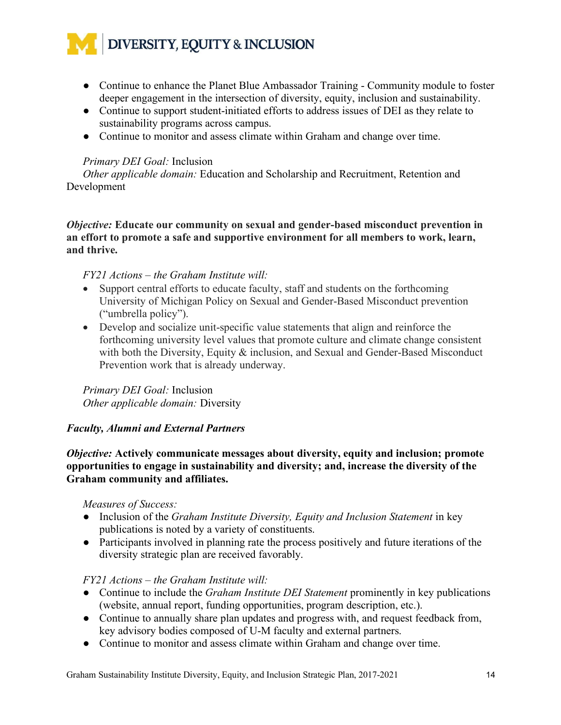- Continue to enhance the Planet Blue Ambassador Training Community module to foster deeper engagement in the intersection of diversity, equity, inclusion and sustainability.
- Continue to support student-initiated efforts to address issues of DEI as they relate to sustainability programs across campus.
- Continue to monitor and assess climate within Graham and change over time.

#### *Primary DEI Goal:* Inclusion

*Other applicable domain:* Education and Scholarship and Recruitment, Retention and Development

*Objective:* **Educate our community on sexual and gender-based misconduct prevention in an effort to promote a safe and supportive environment for all members to work, learn, and thrive.**

#### *FY21 Actions – the Graham Institute will:*

- Support central efforts to educate faculty, staff and students on the forthcoming University of Michigan Policy on Sexual and Gender-Based Misconduct prevention ("umbrella policy").
- Develop and socialize unit-specific value statements that align and reinforce the forthcoming university level values that promote culture and climate change consistent with both the Diversity, Equity & inclusion, and Sexual and Gender-Based Misconduct Prevention work that is already underway.

*Primary DEI Goal:* Inclusion *Other applicable domain:* Diversity

#### *Faculty, Alumni and External Partners*

*Objective:* **Actively communicate messages about diversity, equity and inclusion; promote opportunities to engage in sustainability and diversity; and, increase the diversity of the Graham community and affiliates.** 

#### *Measures of Success:*

- Inclusion of the *Graham Institute Diversity, Equity and Inclusion Statement* in key publications is noted by a variety of constituents.
- Participants involved in planning rate the process positively and future iterations of the diversity strategic plan are received favorably.

#### *FY21 Actions – the Graham Institute will:*

- Continue to include the *Graham Institute DEI Statement* prominently in key publications (website, annual report, funding opportunities, program description, etc.).
- Continue to annually share plan updates and progress with, and request feedback from, key advisory bodies composed of U-M faculty and external partners.
- Continue to monitor and assess climate within Graham and change over time.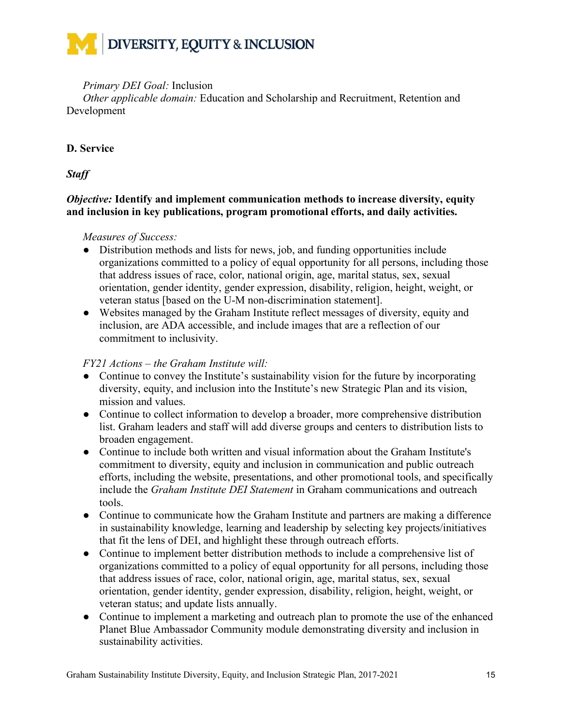#### *Primary DEI Goal:* Inclusion

*Other applicable domain:* Education and Scholarship and Recruitment, Retention and Development

#### **D. Service**

*Staff*

#### *Objective:* **Identify and implement communication methods to increase diversity, equity and inclusion in key publications, program promotional efforts, and daily activities.**

#### *Measures of Success:*

- Distribution methods and lists for news, job, and funding opportunities include organizations committed to a policy of equal opportunity for all persons, including those that address issues of race, color, national origin, age, marital status, sex, sexual orientation, gender identity, gender expression, disability, religion, height, weight, or veteran status [based on the U-M non-discrimination statement].
- Websites managed by the Graham Institute reflect messages of diversity, equity and inclusion, are ADA accessible, and include images that are a reflection of our commitment to inclusivity.

#### *FY21 Actions – the Graham Institute will:*

- Continue to convey the Institute's sustainability vision for the future by incorporating diversity, equity, and inclusion into the Institute's new Strategic Plan and its vision, mission and values.
- Continue to collect information to develop a broader, more comprehensive distribution list. Graham leaders and staff will add diverse groups and centers to distribution lists to broaden engagement.
- Continue to include both written and visual information about the Graham Institute's commitment to diversity, equity and inclusion in communication and public outreach efforts, including the website, presentations, and other promotional tools, and specifically include the *Graham Institute DEI Statement* in Graham communications and outreach tools.
- Continue to communicate how the Graham Institute and partners are making a difference in sustainability knowledge, learning and leadership by selecting key projects/initiatives that fit the lens of DEI, and highlight these through outreach efforts.
- Continue to implement better distribution methods to include a comprehensive list of organizations committed to a policy of equal opportunity for all persons, including those that address issues of race, color, national origin, age, marital status, sex, sexual orientation, gender identity, gender expression, disability, religion, height, weight, or veteran status; and update lists annually.
- Continue to implement a marketing and outreach plan to promote the use of the enhanced Planet Blue Ambassador Community module demonstrating diversity and inclusion in sustainability activities.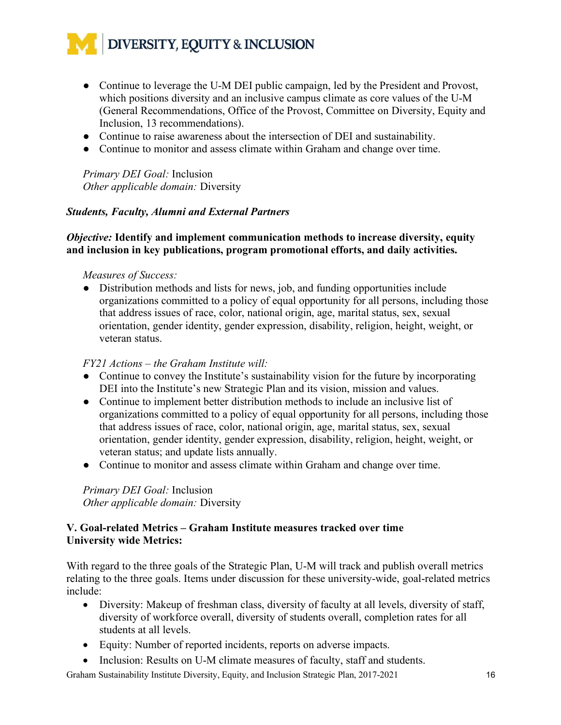- Continue to leverage the U-M DEI public campaign, led by the President and Provost, which positions diversity and an inclusive campus climate as core values of the U-M (General Recommendations, Office of the Provost, Committee on Diversity, Equity and Inclusion, 13 recommendations).
- Continue to raise awareness about the intersection of DEI and sustainability.
- Continue to monitor and assess climate within Graham and change over time.

*Primary DEI Goal:* Inclusion *Other applicable domain:* Diversity

#### *Students, Faculty, Alumni and External Partners*

#### *Objective:* **Identify and implement communication methods to increase diversity, equity and inclusion in key publications, program promotional efforts, and daily activities.**

#### *Measures of Success:*

• Distribution methods and lists for news, job, and funding opportunities include organizations committed to a policy of equal opportunity for all persons, including those that address issues of race, color, national origin, age, marital status, sex, sexual orientation, gender identity, gender expression, disability, religion, height, weight, or veteran status.

#### *FY21 Actions – the Graham Institute will:*

- Continue to convey the Institute's sustainability vision for the future by incorporating DEI into the Institute's new Strategic Plan and its vision, mission and values.
- Continue to implement better distribution methods to include an inclusive list of organizations committed to a policy of equal opportunity for all persons, including those that address issues of race, color, national origin, age, marital status, sex, sexual orientation, gender identity, gender expression, disability, religion, height, weight, or veteran status; and update lists annually.
- Continue to monitor and assess climate within Graham and change over time.

*Primary DEI Goal:* Inclusion *Other applicable domain:* Diversity

#### **V. Goal-related Metrics – Graham Institute measures tracked over time University wide Metrics:**

With regard to the three goals of the Strategic Plan, U-M will track and publish overall metrics relating to the three goals. Items under discussion for these university-wide, goal-related metrics include:

- Diversity: Makeup of freshman class, diversity of faculty at all levels, diversity of staff, diversity of workforce overall, diversity of students overall, completion rates for all students at all levels.
- Equity: Number of reported incidents, reports on adverse impacts.
- Inclusion: Results on U-M climate measures of faculty, staff and students.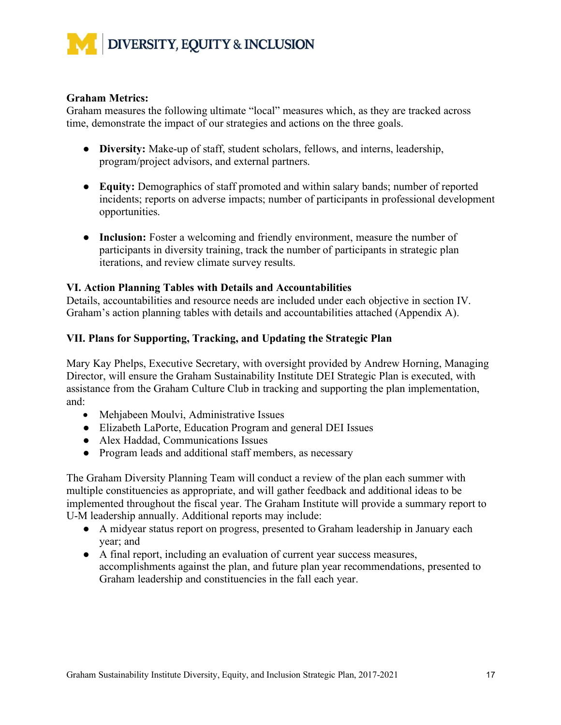

#### **Graham Metrics:**

Graham measures the following ultimate "local" measures which, as they are tracked across time, demonstrate the impact of our strategies and actions on the three goals.

- **Diversity:** Make-up of staff, student scholars, fellows, and interns, leadership, program/project advisors, and external partners.
- **Equity:** Demographics of staff promoted and within salary bands; number of reported incidents; reports on adverse impacts; number of participants in professional development opportunities.
- **Inclusion:** Foster a welcoming and friendly environment, measure the number of participants in diversity training, track the number of participants in strategic plan iterations, and review climate survey results.

#### **VI. Action Planning Tables with Details and Accountabilities**

Details, accountabilities and resource needs are included under each objective in section IV. Graham's action planning tables with details and accountabilities attached (Appendix A).

#### **VII. Plans for Supporting, Tracking, and Updating the Strategic Plan**

Mary Kay Phelps, Executive Secretary, with oversight provided by Andrew Horning, Managing Director, will ensure the Graham Sustainability Institute DEI Strategic Plan is executed, with assistance from the Graham Culture Club in tracking and supporting the plan implementation, and:

- Mehjabeen Moulvi, Administrative Issues
- Elizabeth LaPorte, Education Program and general DEI Issues
- Alex Haddad, Communications Issues
- Program leads and additional staff members, as necessary

The Graham Diversity Planning Team will conduct a review of the plan each summer with multiple constituencies as appropriate, and will gather feedback and additional ideas to be implemented throughout the fiscal year. The Graham Institute will provide a summary report to U-M leadership annually. Additional reports may include:

- A midyear status report on progress, presented to Graham leadership in January each year; and
- A final report, including an evaluation of current year success measures, accomplishments against the plan, and future plan year recommendations, presented to Graham leadership and constituencies in the fall each year.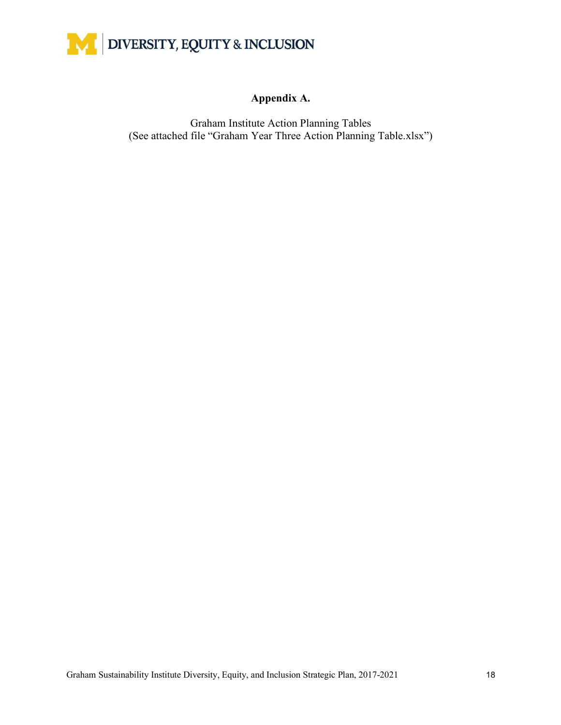

#### **Appendix A.**

Graham Institute Action Planning Tables (See attached file "Graham Year Three Action Planning Table.xlsx")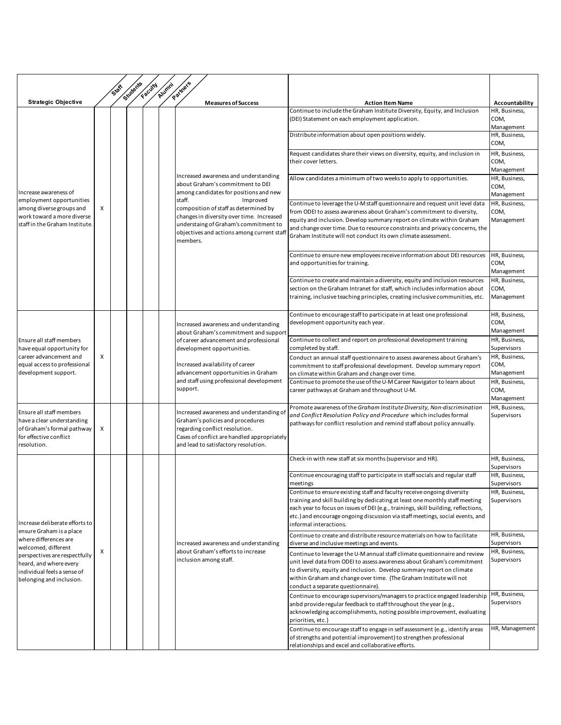|                                                                                                                                                                                                                                  |   | <b>Staff</b> | Students | Faculty | Alumni | Partners                                                                                                                                                                                                                                                                                                                          |                                                                                                                                                                                                                                                                                                                                                                                |                                     |
|----------------------------------------------------------------------------------------------------------------------------------------------------------------------------------------------------------------------------------|---|--------------|----------|---------|--------|-----------------------------------------------------------------------------------------------------------------------------------------------------------------------------------------------------------------------------------------------------------------------------------------------------------------------------------|--------------------------------------------------------------------------------------------------------------------------------------------------------------------------------------------------------------------------------------------------------------------------------------------------------------------------------------------------------------------------------|-------------------------------------|
| <b>Strategic Objective</b>                                                                                                                                                                                                       |   |              |          |         |        | <b>Measures of Success</b>                                                                                                                                                                                                                                                                                                        | <b>Action Item Name</b>                                                                                                                                                                                                                                                                                                                                                        | Accountability                      |
| Increase awareness of<br>employment opportunities<br>among diverse groups and<br>work toward a more diverse<br>staff in the Graham Institute.                                                                                    |   |              |          |         |        |                                                                                                                                                                                                                                                                                                                                   | Continue to include the Graham Institute Diversity, Equity, and Inclusion<br>(DEI) Statement on each employment application.                                                                                                                                                                                                                                                   | HR, Business,<br>COM,<br>Management |
|                                                                                                                                                                                                                                  |   |              |          |         |        |                                                                                                                                                                                                                                                                                                                                   | Distribute information about open positions widely.                                                                                                                                                                                                                                                                                                                            | HR, Business,<br>COM,               |
|                                                                                                                                                                                                                                  |   |              |          |         |        | Increased awareness and understanding<br>about Graham's commitment to DEI<br>among candidates for positions and new<br>staff.<br>Improved<br>composition of staff as determined by<br>changes in diversity over time. Increased<br>understaing of Graham's commitment to<br>objectives and actions among current staf<br>members. | Request candidates share their views on diversity, equity, and inclusion in<br>their cover letters.                                                                                                                                                                                                                                                                            | HR, Business,<br>COM,<br>Management |
|                                                                                                                                                                                                                                  |   |              |          |         |        |                                                                                                                                                                                                                                                                                                                                   | Allow candidates a minimum of two weeks to apply to opportunities.                                                                                                                                                                                                                                                                                                             | HR, Business,<br>COM,<br>Management |
|                                                                                                                                                                                                                                  | X |              |          |         |        |                                                                                                                                                                                                                                                                                                                                   | Continue to leverage the U-M staff questionnaire and request unit level data<br>from ODEI to assess awareness about Graham's commitment to diversity,<br>equity and inclusion. Develop summary report on climate within Graham<br>and change over time. Due to resource constraints and privacy concerns, the<br>Graham Institute will not conduct its own climate assessment. | HR, Business,<br>COM,<br>Management |
|                                                                                                                                                                                                                                  |   |              |          |         |        |                                                                                                                                                                                                                                                                                                                                   | Continue to ensure new employees receive information about DEI resources<br>and opportunities for training.                                                                                                                                                                                                                                                                    | HR, Business,<br>COM,<br>Management |
|                                                                                                                                                                                                                                  |   |              |          |         |        |                                                                                                                                                                                                                                                                                                                                   | Continue to create and maintain a diversity, equity and inclusion resources<br>section on the Graham Intranet for staff, which includes information about<br>training, inclusive teaching principles, creating inclusive communities, etc.                                                                                                                                     | HR, Business,<br>COM,<br>Management |
| Ensure all staff members<br>have equal opportunity for<br>career advancement and<br>equal access to professional<br>development support.                                                                                         | X |              |          |         |        | Increased awareness and understanding<br>about Graham's commitment and support<br>of career advancement and professional<br>development opportunities.<br>Increased availability of career<br>advancement opportunities in Graham<br>and staff using professional development<br>support.                                         | Continue to encourage staff to participate in at least one professional<br>development opportunity each year.                                                                                                                                                                                                                                                                  | HR, Business,<br>COM,<br>Management |
|                                                                                                                                                                                                                                  |   |              |          |         |        |                                                                                                                                                                                                                                                                                                                                   | Continue to collect and report on professional development training<br>completed by staff.                                                                                                                                                                                                                                                                                     | HR, Business,<br>Supervisors        |
|                                                                                                                                                                                                                                  |   |              |          |         |        |                                                                                                                                                                                                                                                                                                                                   | Conduct an annual staff questionnaire to assess awareness about Graham's<br>commitment to staff professional development. Develop summary report<br>on climate within Graham and change over time.                                                                                                                                                                             | HR, Business,<br>COM,<br>Management |
|                                                                                                                                                                                                                                  |   |              |          |         |        |                                                                                                                                                                                                                                                                                                                                   | Continue to promote the use of the U-M Career Navigator to learn about<br>career pathways at Graham and throughout U-M.                                                                                                                                                                                                                                                        | HR, Business,<br>COM,<br>Management |
| Ensure all staff members<br>have a clear understanding<br>of Graham's formal pathway<br>for effective conflict<br>resolution.                                                                                                    | X |              |          |         |        | Increased awareness and understanding of<br>Graham's policies and procedures<br>regarding conflict resolution.<br>Cases of conflict are handled appropriately<br>and lead to satisfactory resolution.                                                                                                                             | Promote awareness of the Graham Institute Diversity, Non-discrimination<br>and Conflict Resolution Policy and Procedure which includes formal<br>pathways for conflict resolution and remind staff about policy annually.                                                                                                                                                      | HR, Business,<br>Supervisors        |
|                                                                                                                                                                                                                                  |   |              |          |         |        |                                                                                                                                                                                                                                                                                                                                   | Check-in with new staff at six months (supervisor and HR).                                                                                                                                                                                                                                                                                                                     | HR, Business,<br>Supervisors        |
|                                                                                                                                                                                                                                  |   |              |          |         |        |                                                                                                                                                                                                                                                                                                                                   | Continue encouraging staff to participate in staff socials and regular staff<br>meetings                                                                                                                                                                                                                                                                                       | HR, Business,<br>Supervisors        |
| Increase deliberate efforts to<br>ensure Graham is a place<br>where differences are<br>welcomed, different<br>perspectives are respectfully<br>heard, and where every<br>individual feels a sense of<br>belonging and inclusion. |   |              |          |         |        | Increased awareness and understanding<br>about Graham's efforts to increase<br>inclusion among staff.                                                                                                                                                                                                                             | Continue to ensure existing staff and faculty receive ongoing diversity<br>training and skill building by dedicating at least one monthly staff meeting<br>each year to focus on issues of DEI (e.g., trainings, skill building, reflections,<br>etc.) and encourage ongoing discussion via staff meetings, social events, and<br>informal interactions.                       | HR, Business,<br>Supervisors        |
|                                                                                                                                                                                                                                  |   |              |          |         |        |                                                                                                                                                                                                                                                                                                                                   | Continue to create and distribute resource materials on how to facilitate<br>diverse and inclusive meetings and events.                                                                                                                                                                                                                                                        | HR, Business,<br>Supervisors        |
|                                                                                                                                                                                                                                  | х |              |          |         |        |                                                                                                                                                                                                                                                                                                                                   | Continue to leverage the U-M annual staff climate questionnaire and review<br>unit level data from ODEI to assess awareness about Graham's commitment<br>to diversity, equity and inclusion. Develop summary report on climate<br>within Graham and change over time. (The Graham Institute will not<br>conduct a separate questionnaire).                                     | HR, Business,<br>Supervisors        |
|                                                                                                                                                                                                                                  |   |              |          |         |        |                                                                                                                                                                                                                                                                                                                                   | Continue to encourage supervisors/managers to practice engaged leadership<br>anbd provide regular feedback to staff throughout the year (e.g.,<br>acknowledging accomplishments, noting possible improvement, evaluating<br>priorities, etc.)                                                                                                                                  | HR, Business,<br>Supervisors        |
|                                                                                                                                                                                                                                  |   |              |          |         |        |                                                                                                                                                                                                                                                                                                                                   | Continue to encourage staff to engage in self assessment (e.g., identify areas<br>of strengths and potential improvement) to strengthen professional<br>relationships and excel and collaborative efforts.                                                                                                                                                                     | HR, Management                      |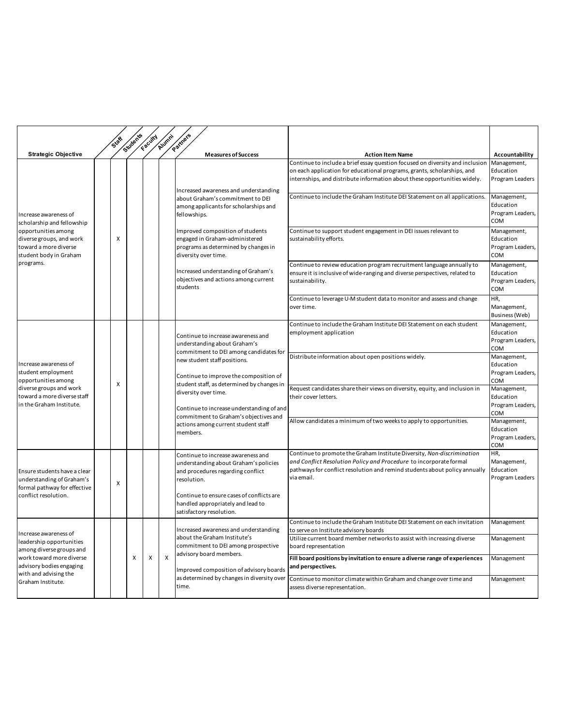|                                                                                                                                                                                     |  |   | Students | Faculty                   | Alumni                    | Partners                                                                                                                                                                                                                                                                                                                                                                                              |                                                                                                                                                                                                                                          |                                                            |
|-------------------------------------------------------------------------------------------------------------------------------------------------------------------------------------|--|---|----------|---------------------------|---------------------------|-------------------------------------------------------------------------------------------------------------------------------------------------------------------------------------------------------------------------------------------------------------------------------------------------------------------------------------------------------------------------------------------------------|------------------------------------------------------------------------------------------------------------------------------------------------------------------------------------------------------------------------------------------|------------------------------------------------------------|
| <b>Strategic Objective</b>                                                                                                                                                          |  |   |          |                           |                           | <b>Measures of Success</b>                                                                                                                                                                                                                                                                                                                                                                            | <b>Action Item Name</b>                                                                                                                                                                                                                  | Accountability                                             |
| Increase awareness of<br>scholarship and fellowship<br>opportunities among<br>diverse groups, and work<br>toward a more diverse<br>student body in Graham<br>programs.              |  |   |          |                           |                           | Increased awareness and understanding                                                                                                                                                                                                                                                                                                                                                                 | Continue to include a brief essay question focused on diversity and inclusion<br>on each application for educational programs, grants, scholarships, and<br>internships, and distribute information about these opportunities widely.    | Management,<br>Education<br>Program Leaders                |
|                                                                                                                                                                                     |  | X |          |                           |                           | about Graham's commitment to DEI<br>among applicants for scholarships and<br>fellowships.<br>Improved composition of students<br>engaged in Graham-administered<br>programs as determined by changes in<br>diversity over time.<br>Increased understanding of Graham's<br>objectives and actions among current<br>students                                                                            | Continue to include the Graham Institute DEI Statement on all applications.                                                                                                                                                              | Management,<br>Education<br>Program Leaders,<br>COM        |
|                                                                                                                                                                                     |  |   |          |                           |                           |                                                                                                                                                                                                                                                                                                                                                                                                       | Continue to support student engagement in DEI issues relevant to<br>sustainability efforts.                                                                                                                                              | Management,<br>Education<br>Program Leaders,<br><b>COM</b> |
|                                                                                                                                                                                     |  |   |          |                           |                           |                                                                                                                                                                                                                                                                                                                                                                                                       | Continue to review education program recruitment language annually to<br>ensure it is inclusive of wide-ranging and diverse perspectives, related to<br>sustainability.                                                                  | Management,<br>Education<br>Program Leaders,<br>COM        |
|                                                                                                                                                                                     |  |   |          |                           |                           |                                                                                                                                                                                                                                                                                                                                                                                                       | Continue to leverage U-M student data to monitor and assess and change<br>over time.                                                                                                                                                     | HR,<br>Management,<br>Business (Web)                       |
| Increase awareness of<br>student employment<br>opportunities among<br>diverse groups and work<br>toward a more diverse staff<br>in the Graham Institute.                            |  | X |          |                           |                           | Continue to increase awareness and<br>understanding about Graham's<br>commitment to DEI among candidates for<br>new student staff positions.<br>Continue to improve the composition of<br>student staff, as determined by changes in<br>diversity over time.<br>Continue to increase understanding of and<br>commitment to Graham's objectives and<br>actions among current student staff<br>members. | Continue to include the Graham Institute DEI Statement on each student<br>employment application                                                                                                                                         | Management,<br>Education<br>Program Leaders,<br>COM        |
|                                                                                                                                                                                     |  |   |          |                           |                           |                                                                                                                                                                                                                                                                                                                                                                                                       | Distribute information about open positions widely.                                                                                                                                                                                      | Management,<br>Education<br>Program Leaders,<br>COM        |
|                                                                                                                                                                                     |  |   |          |                           |                           |                                                                                                                                                                                                                                                                                                                                                                                                       | Request candidates share their views on diversity, equity, and inclusion in<br>their cover letters.                                                                                                                                      | Management,<br>Education<br>Program Leaders,<br>COM        |
|                                                                                                                                                                                     |  |   |          |                           |                           |                                                                                                                                                                                                                                                                                                                                                                                                       | Allow candidates a minimum of two weeks to apply to opportunities.                                                                                                                                                                       | Management,<br>Education<br>Program Leaders,<br>COM        |
| Ensure students have a clear<br>understanding of Graham's<br>formal pathway for effective<br>conflict resolution.                                                                   |  | X |          |                           |                           | Continue to increase awareness and<br>understanding about Graham's policies<br>and procedures regarding conflict<br>resolution.<br>Continue to ensure cases of conflicts are<br>handled appropriately and lead to                                                                                                                                                                                     | Continue to promote the Graham Institute Diversity, Non-discrimination<br>and Conflict Resolution Policy and Procedure to incorporate formal<br>pathways for conflict resolution and remind students about policy annually<br>via email. | HR,<br>Management,<br>Education<br>Program Leaders         |
| Increase awareness of<br>leadership opportunities<br>among diverse groups and<br>work toward more diverse<br>advisory bodies engaging<br>with and advising the<br>Graham Institute. |  |   | X        | $\boldsymbol{\mathsf{x}}$ |                           | satisfactory resolution.<br>Increased awareness and understanding<br>about the Graham Institute's<br>commitment to DEI among prospective<br>advisory board members.<br>Improved composition of advisory boards<br>as determined by changes in diversity over<br>time.                                                                                                                                 | Continue to include the Graham Institute DEI Statement on each invitation<br>to serve on Institute advisory boards                                                                                                                       | Management                                                 |
|                                                                                                                                                                                     |  |   |          |                           |                           |                                                                                                                                                                                                                                                                                                                                                                                                       | Utilize current board member networks to assist with increasing diverse<br>board representation                                                                                                                                          | Management                                                 |
|                                                                                                                                                                                     |  |   |          |                           | $\boldsymbol{\mathsf{x}}$ |                                                                                                                                                                                                                                                                                                                                                                                                       | Fill board positions by invitation to ensure a diverse range of experiences<br>and perspectives.                                                                                                                                         | Management                                                 |
|                                                                                                                                                                                     |  |   |          |                           |                           |                                                                                                                                                                                                                                                                                                                                                                                                       | Continue to monitor climate within Graham and change over time and<br>assess diverse representation.                                                                                                                                     | Management                                                 |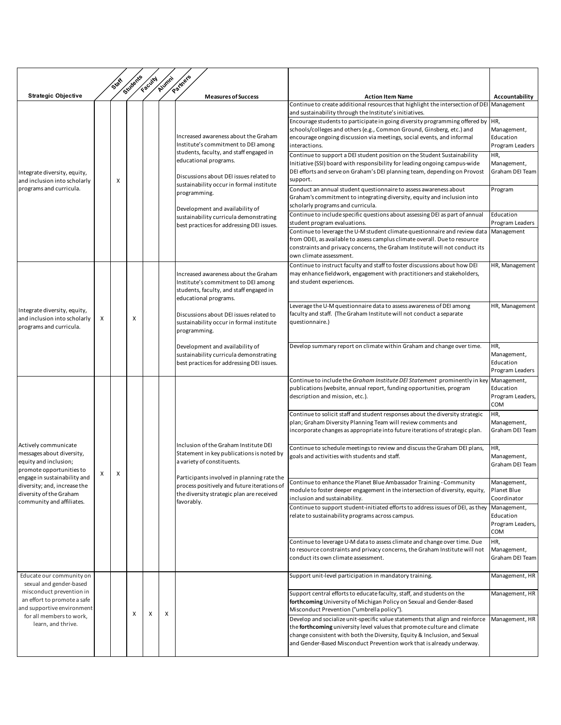|                                                                                                                                                                                                                                |   | SIDE | Students | Faculty | Alumni | Partners                                                                                                                                                                                                                                                                                                                                                                         |                                                                                                                                                                                                                                                                                                                                                                                                                                                                                                    |                                                                                             |
|--------------------------------------------------------------------------------------------------------------------------------------------------------------------------------------------------------------------------------|---|------|----------|---------|--------|----------------------------------------------------------------------------------------------------------------------------------------------------------------------------------------------------------------------------------------------------------------------------------------------------------------------------------------------------------------------------------|----------------------------------------------------------------------------------------------------------------------------------------------------------------------------------------------------------------------------------------------------------------------------------------------------------------------------------------------------------------------------------------------------------------------------------------------------------------------------------------------------|---------------------------------------------------------------------------------------------|
| <b>Strategic Objective</b>                                                                                                                                                                                                     |   |      |          |         |        | <b>Measures of Success</b>                                                                                                                                                                                                                                                                                                                                                       | <b>Action Item Name</b>                                                                                                                                                                                                                                                                                                                                                                                                                                                                            | Accountability                                                                              |
|                                                                                                                                                                                                                                |   |      |          |         |        |                                                                                                                                                                                                                                                                                                                                                                                  | Continue to create additional resources that highlight the intersection of DEI Management<br>and sustainability through the Institute's initiatives.                                                                                                                                                                                                                                                                                                                                               |                                                                                             |
| Integrate diversity, equity,<br>and inclusion into scholarly                                                                                                                                                                   |   | х    |          |         |        | Increased awareness about the Graham<br>Institute's commitment to DEI among<br>students, faculty, and staff engaged in<br>educational programs.<br>Discussions about DEI issues related to<br>sustainability occur in formal institute<br>programming.<br>Development and availability of<br>sustainability curricula demonstrating<br>best practices for addressing DEI issues. | Encourage students to participate in going diversity programming offered by<br>schools/colleges and others (e.g., Common Ground, Ginsberg, etc.) and<br>encourage ongoing discussion via meetings, social events, and informal<br>interactions.<br>Continue to support a DEI student position on the Student Sustainability<br>Initiative (SSI) board with responsibility for leading ongoing campus-wide<br>DEI efforts and serve on Graham's DEI planning team, depending on Provost<br>support. | HR,<br>Management,<br>Education<br>Program Leaders<br>HR,<br>Management,<br>Graham DEI Team |
| programs and curricula.                                                                                                                                                                                                        |   |      |          |         |        |                                                                                                                                                                                                                                                                                                                                                                                  | Conduct an annual student questionnaire to assess awareness about<br>Graham's commitment to integrating diversity, equity and inclusion into<br>scholarly programs and curricula.                                                                                                                                                                                                                                                                                                                  | Program                                                                                     |
|                                                                                                                                                                                                                                |   |      |          |         |        |                                                                                                                                                                                                                                                                                                                                                                                  | Continue to include specific questions about assessing DEI as part of annual<br>student program evaluations.                                                                                                                                                                                                                                                                                                                                                                                       | Education<br>Program Leaders                                                                |
|                                                                                                                                                                                                                                |   |      |          |         |        |                                                                                                                                                                                                                                                                                                                                                                                  | Continue to leverage the U-M student climate questionnaire and review data<br>from ODEI, as available to assess camplus climate overall. Due to resource<br>constraints and privacy concerns, the Graham Institute will not conduct its<br>own climate assessment.                                                                                                                                                                                                                                 | Management                                                                                  |
| Integrate diversity, equity,<br>and inclusion into scholarly<br>programs and curricula.                                                                                                                                        | x |      |          |         |        | Increased awareness about the Graham<br>Institute's commitment to DEI among<br>students, faculty, and staff engaged in<br>educational programs.                                                                                                                                                                                                                                  | Continue to instruct faculty and staff to foster discussions about how DEI<br>may enhance fieldwork, engagement with practitioners and stakeholders,<br>and student experiences.                                                                                                                                                                                                                                                                                                                   | HR, Management                                                                              |
|                                                                                                                                                                                                                                |   |      | X        |         |        | Discussions about DEI issues related to<br>sustainability occur in formal institute<br>programming.                                                                                                                                                                                                                                                                              | Leverage the U-M questionnaire data to assess awareness of DEI among<br>faculty and staff. (The Graham Institute will not conduct a separate<br>questionnaire.)                                                                                                                                                                                                                                                                                                                                    | HR, Management                                                                              |
|                                                                                                                                                                                                                                |   |      |          |         |        | Development and availability of<br>sustainability curricula demonstrating<br>best practices for addressing DEI issues.                                                                                                                                                                                                                                                           | Develop summary report on climate within Graham and change over time.                                                                                                                                                                                                                                                                                                                                                                                                                              | HR,<br>Management,<br>Education<br>Program Leaders                                          |
| Actively communicate<br>messages about diversity,<br>equity and inclusion;<br>promote opportunities to<br>engage in sustainability and<br>diversity; and, increase the<br>diversity of the Graham<br>community and affiliates. | X |      |          |         |        | Inclusion of the Graham Institute DEI<br>Statement in key publications is noted by<br>a variety of constituents.<br>Participants involved in planning rate the<br>process positively and future iterations of<br>the diversity strategic plan are received<br>favorably.                                                                                                         | Continue to include the Graham Institute DEI Statement prominently in key<br>publications (website, annual report, funding opportunities, program<br>description and mission, etc.).                                                                                                                                                                                                                                                                                                               | Management,<br>Education<br>Program Leaders,<br>COM                                         |
|                                                                                                                                                                                                                                |   | х    |          |         |        |                                                                                                                                                                                                                                                                                                                                                                                  | Continue to solicit staff and student responses about the diversity strategic<br>plan; Graham Diversity Planning Team will review comments and<br>incorporate changes as appropriate into future iterations of strategic plan.                                                                                                                                                                                                                                                                     | HR,<br>Management,<br>Graham DEI Team                                                       |
|                                                                                                                                                                                                                                |   |      |          |         |        |                                                                                                                                                                                                                                                                                                                                                                                  | Continue to schedule meetings to review and discuss the Graham DEI plans,<br>goals and activities with students and staff.                                                                                                                                                                                                                                                                                                                                                                         | HR,<br>Management,<br>Graham DEI Team                                                       |
|                                                                                                                                                                                                                                |   |      |          |         |        |                                                                                                                                                                                                                                                                                                                                                                                  | Continue to enhance the Planet Blue Ambassador Training - Community<br>module to foster deeper engagement in the intersection of diversity, equity,<br>inclusion and sustainability.                                                                                                                                                                                                                                                                                                               | Management,<br>Planet Blue<br>Coordinator                                                   |
|                                                                                                                                                                                                                                |   |      |          |         |        |                                                                                                                                                                                                                                                                                                                                                                                  | Continue to support student-initiated efforts to address issues of DEI, as they<br>relate to sustainability programs across campus.                                                                                                                                                                                                                                                                                                                                                                | Management,<br>Education<br>Program Leaders,<br><b>COM</b>                                  |
|                                                                                                                                                                                                                                |   |      |          |         |        |                                                                                                                                                                                                                                                                                                                                                                                  | Continue to leverage U-M data to assess climate and change over time. Due<br>to resource constraints and privacy concerns, the Graham Institute will not<br>conduct its own climate assessment.                                                                                                                                                                                                                                                                                                    | HR,<br>Management,<br>Graham DEI Team                                                       |
| Educate our community on<br>sexual and gender-based                                                                                                                                                                            |   |      |          |         |        |                                                                                                                                                                                                                                                                                                                                                                                  | Support unit-level participation in mandatory training.                                                                                                                                                                                                                                                                                                                                                                                                                                            | Management, HR                                                                              |
| misconduct prevention in<br>an effort to promote a safe<br>and supportive environment<br>for all members to work,                                                                                                              |   |      | X        | X       | х      |                                                                                                                                                                                                                                                                                                                                                                                  | Support central efforts to educate faculty, staff, and students on the<br>forthcoming University of Michigan Policy on Sexual and Gender-Based<br>Misconduct Prevention ("umbrella policy").                                                                                                                                                                                                                                                                                                       | Management, HR                                                                              |
| learn, and thrive.                                                                                                                                                                                                             |   |      |          |         |        |                                                                                                                                                                                                                                                                                                                                                                                  | Develop and socialize unit-specific value statements that align and reinforce<br>the forthcoming university level values that promote culture and climate<br>change consistent with both the Diversity, Equity & Inclusion, and Sexual<br>and Gender-Based Misconduct Prevention work that is already underway.                                                                                                                                                                                    | Management, HR                                                                              |